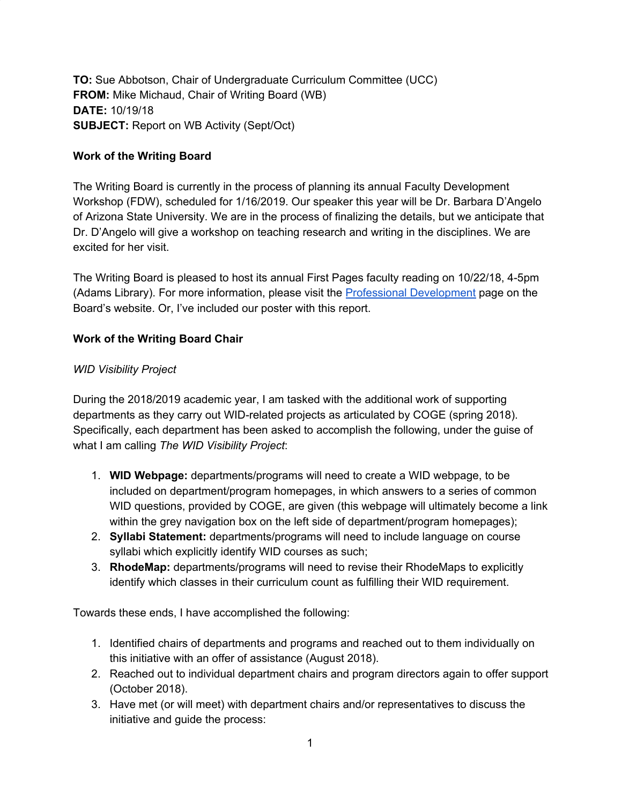**TO:** Sue Abbotson, Chair of Undergraduate Curriculum Committee (UCC) **FROM:** Mike Michaud, Chair of Writing Board (WB) **DATE:** 10/19/18 **SUBJECT:** Report on WB Activity (Sept/Oct)

## **Work of the Writing Board**

The Writing Board is currently in the process of planning its annual Faculty Development Workshop (FDW), scheduled for 1/16/2019. Our speaker this year will be Dr. Barbara D'Angelo of Arizona State University. We are in the process of finalizing the details, but we anticipate that Dr. D'Angelo will give a workshop on teaching research and writing in the disciplines. We are excited for her visit.

The Writing Board is pleased to host its annual First Pages faculty reading on 10/22/18, 4-5pm (Adams Library). For more information, please visit the Professional [Development](http://www.ric.edu/writingboard/Pages/Professional-Development.aspx) page on the Board's website. Or, I've included our poster with this report.

### **Work of the Writing Board Chair**

#### *WID Visibility Project*

During the 2018/2019 academic year, I am tasked with the additional work of supporting departments as they carry out WID-related projects as articulated by COGE (spring 2018). Specifically, each department has been asked to accomplish the following, under the guise of what I am calling *The WID Visibility Project*:

- 1. **WID Webpage:** departments/programs will need to create a WID webpage, to be included on department/program homepages, in which answers to a series of common WID questions, provided by COGE, are given (this webpage will ultimately become a link within the grey navigation box on the left side of department/program homepages);
- 2. **Syllabi Statement:** departments/programs will need to include language on course syllabi which explicitly identify WID courses as such;
- 3. **RhodeMap:** departments/programs will need to revise their RhodeMaps to explicitly identify which classes in their curriculum count as fulfilling their WID requirement.

Towards these ends, I have accomplished the following:

- 1. Identified chairs of departments and programs and reached out to them individually on this initiative with an offer of assistance (August 2018).
- 2. Reached out to individual department chairs and program directors again to offer support (October 2018).
- 3. Have met (or will meet) with department chairs and/or representatives to discuss the initiative and guide the process: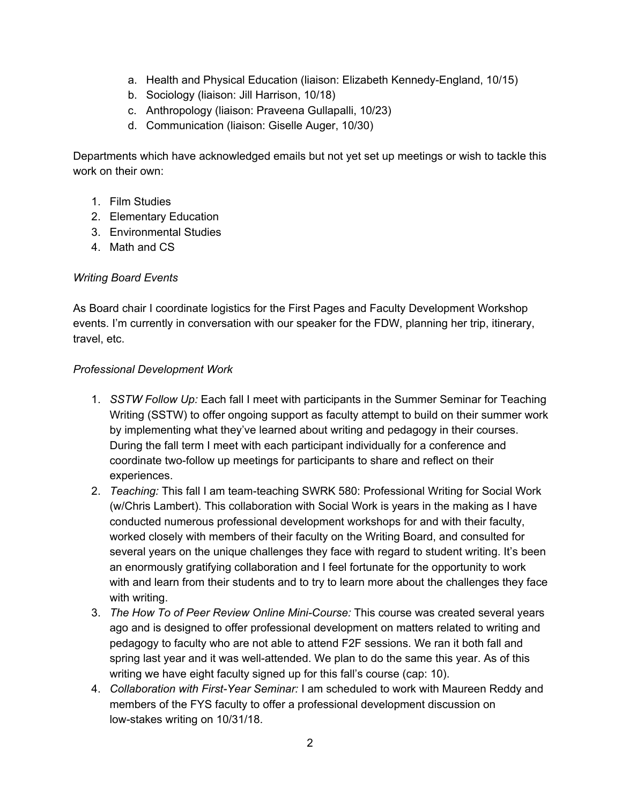- a. Health and Physical Education (liaison: Elizabeth Kennedy-England, 10/15)
- b. Sociology (liaison: Jill Harrison, 10/18)
- c. Anthropology (liaison: Praveena Gullapalli, 10/23)
- d. Communication (liaison: Giselle Auger, 10/30)

Departments which have acknowledged emails but not yet set up meetings or wish to tackle this work on their own:

- 1. Film Studies
- 2. Elementary Education
- 3. Environmental Studies
- 4. Math and CS

# *Writing Board Events*

As Board chair I coordinate logistics for the First Pages and Faculty Development Workshop events. I'm currently in conversation with our speaker for the FDW, planning her trip, itinerary, travel, etc.

#### *Professional Development Work*

- 1. *SSTW Follow Up:* Each fall I meet with participants in the Summer Seminar for Teaching Writing (SSTW) to offer ongoing support as faculty attempt to build on their summer work by implementing what they've learned about writing and pedagogy in their courses. During the fall term I meet with each participant individually for a conference and coordinate two-follow up meetings for participants to share and reflect on their experiences.
- 2. *Teaching:* This fall I am team-teaching SWRK 580: Professional Writing for Social Work (w/Chris Lambert). This collaboration with Social Work is years in the making as I have conducted numerous professional development workshops for and with their faculty, worked closely with members of their faculty on the Writing Board, and consulted for several years on the unique challenges they face with regard to student writing. It's been an enormously gratifying collaboration and I feel fortunate for the opportunity to work with and learn from their students and to try to learn more about the challenges they face with writing.
- 3. *The How To of Peer Review Online Mini-Course:* This course was created several years ago and is designed to offer professional development on matters related to writing and pedagogy to faculty who are not able to attend F2F sessions. We ran it both fall and spring last year and it was well-attended. We plan to do the same this year. As of this writing we have eight faculty signed up for this fall's course (cap: 10).
- 4. *Collaboration with First-Year Seminar:* I am scheduled to work with Maureen Reddy and members of the FYS faculty to offer a professional development discussion on low-stakes writing on 10/31/18.